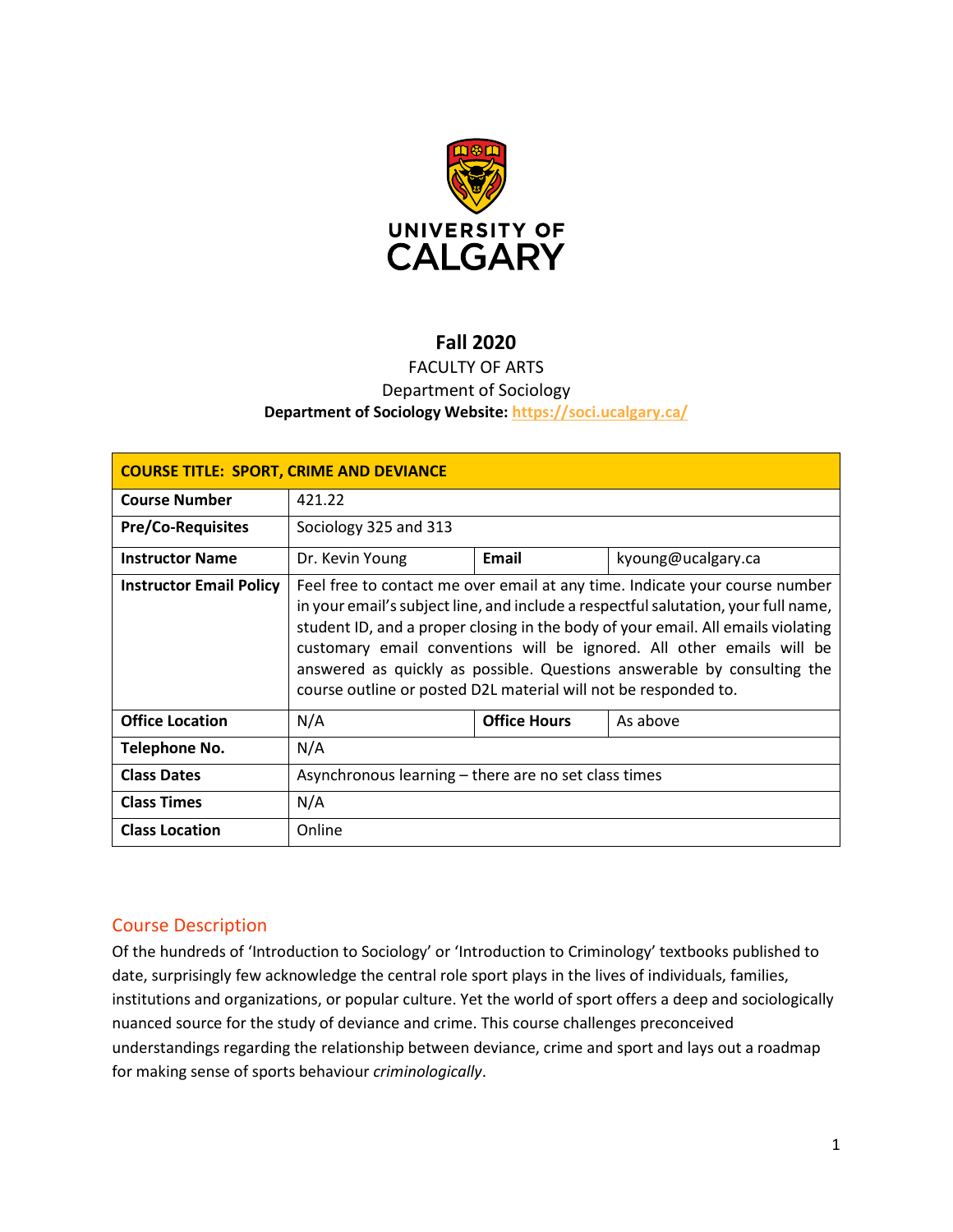

## **Fall 2020**

## FACULTY OF ARTS Department of Sociology **Department of Sociology Website:<https://soci.ucalgary.ca/>**

| <b>COURSE TITLE: SPORT, CRIME AND DEVIANCE</b> |                                                                                                                                                                                                                                                                                                                                                                                                                                                                              |                     |                    |  |  |
|------------------------------------------------|------------------------------------------------------------------------------------------------------------------------------------------------------------------------------------------------------------------------------------------------------------------------------------------------------------------------------------------------------------------------------------------------------------------------------------------------------------------------------|---------------------|--------------------|--|--|
| <b>Course Number</b>                           | 421.22                                                                                                                                                                                                                                                                                                                                                                                                                                                                       |                     |                    |  |  |
| <b>Pre/Co-Requisites</b>                       | Sociology 325 and 313                                                                                                                                                                                                                                                                                                                                                                                                                                                        |                     |                    |  |  |
| <b>Instructor Name</b>                         | Dr. Kevin Young                                                                                                                                                                                                                                                                                                                                                                                                                                                              | Email               | kyoung@ucalgary.ca |  |  |
| <b>Instructor Email Policy</b>                 | Feel free to contact me over email at any time. Indicate your course number<br>in your email's subject line, and include a respectful salutation, your full name,<br>student ID, and a proper closing in the body of your email. All emails violating<br>customary email conventions will be ignored. All other emails will be<br>answered as quickly as possible. Questions answerable by consulting the<br>course outline or posted D2L material will not be responded to. |                     |                    |  |  |
| <b>Office Location</b>                         | N/A                                                                                                                                                                                                                                                                                                                                                                                                                                                                          | <b>Office Hours</b> | As above           |  |  |
| Telephone No.                                  | N/A                                                                                                                                                                                                                                                                                                                                                                                                                                                                          |                     |                    |  |  |
| <b>Class Dates</b>                             | Asynchronous learning – there are no set class times                                                                                                                                                                                                                                                                                                                                                                                                                         |                     |                    |  |  |
| <b>Class Times</b>                             | N/A                                                                                                                                                                                                                                                                                                                                                                                                                                                                          |                     |                    |  |  |
| <b>Class Location</b>                          | Online                                                                                                                                                                                                                                                                                                                                                                                                                                                                       |                     |                    |  |  |

## Course Description

Of the hundreds of 'Introduction to Sociology' or 'Introduction to Criminology' textbooks published to date, surprisingly few acknowledge the central role sport plays in the lives of individuals, families, institutions and organizations, or popular culture. Yet the world of sport offers a deep and sociologically nuanced source for the study of deviance and crime. This course challenges preconceived understandings regarding the relationship between deviance, crime and sport and lays out a roadmap for making sense of sports behaviour *criminologically*.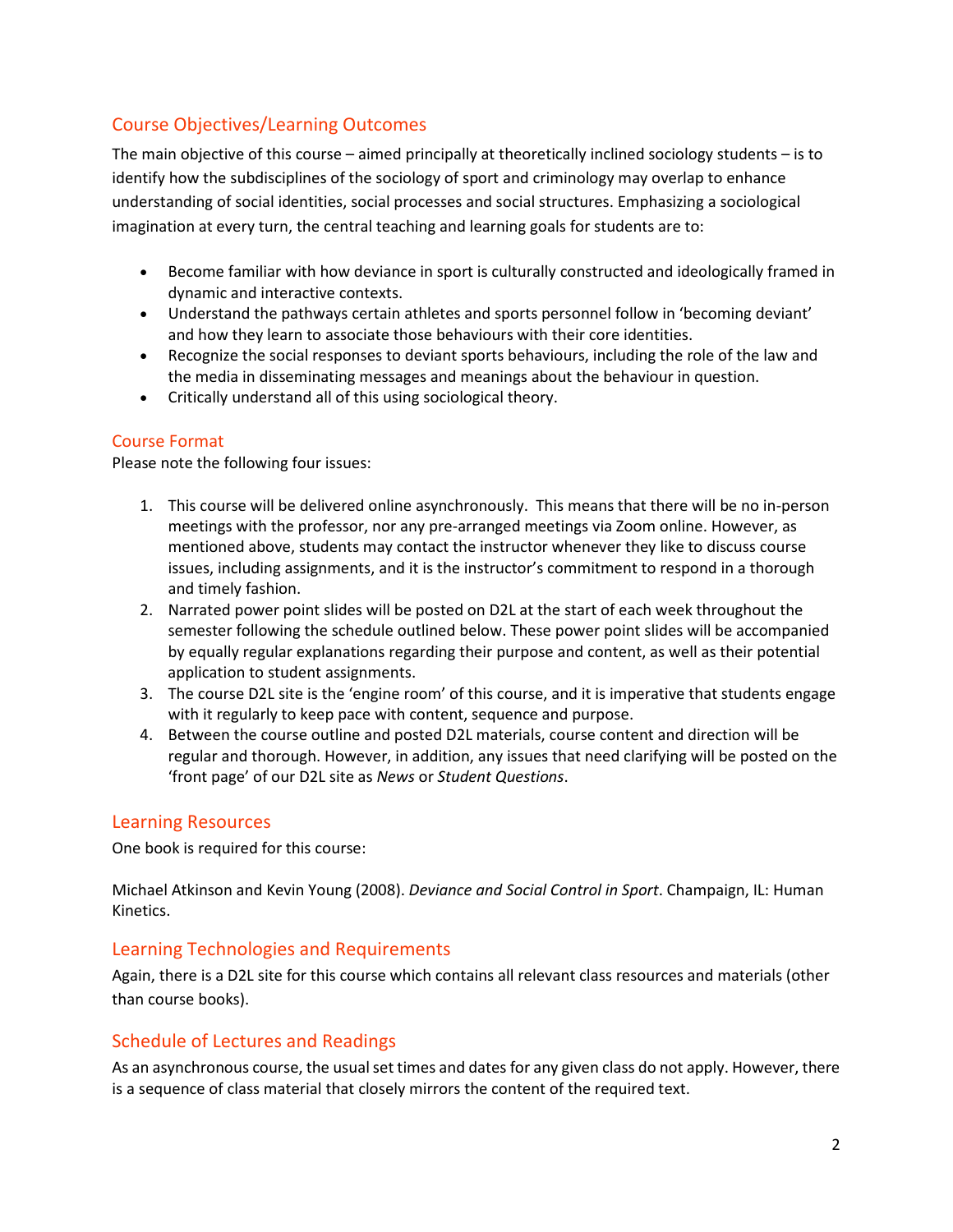# Course Objectives/Learning Outcomes

The main objective of this course – aimed principally at theoretically inclined sociology students – is to identify how the subdisciplines of the sociology of sport and criminology may overlap to enhance understanding of social identities, social processes and social structures. Emphasizing a sociological imagination at every turn, the central teaching and learning goals for students are to:

- Become familiar with how deviance in sport is culturally constructed and ideologically framed in dynamic and interactive contexts.
- Understand the pathways certain athletes and sports personnel follow in 'becoming deviant' and how they learn to associate those behaviours with their core identities.
- Recognize the social responses to deviant sports behaviours, including the role of the law and the media in disseminating messages and meanings about the behaviour in question.
- Critically understand all of this using sociological theory.

## Course Format

Please note the following four issues:

- 1. This course will be delivered online asynchronously. This means that there will be no in-person meetings with the professor, nor any pre-arranged meetings via Zoom online. However, as mentioned above, students may contact the instructor whenever they like to discuss course issues, including assignments, and it is the instructor's commitment to respond in a thorough and timely fashion.
- 2. Narrated power point slides will be posted on D2L at the start of each week throughout the semester following the schedule outlined below. These power point slides will be accompanied by equally regular explanations regarding their purpose and content, as well as their potential application to student assignments.
- 3. The course D2L site is the 'engine room' of this course, and it is imperative that students engage with it regularly to keep pace with content, sequence and purpose.
- 4. Between the course outline and posted D2L materials, course content and direction will be regular and thorough. However, in addition, any issues that need clarifying will be posted on the 'front page' of our D2L site as *News* or *Student Questions*.

## Learning Resources

One book is required for this course:

Michael Atkinson and Kevin Young (2008). *Deviance and Social Control in Sport*. Champaign, IL: Human Kinetics.

## Learning Technologies and Requirements

Again, there is a D2L site for this course which contains all relevant class resources and materials (other than course books).

## Schedule of Lectures and Readings

As an asynchronous course, the usual set times and dates for any given class do not apply. However, there is a sequence of class material that closely mirrors the content of the required text.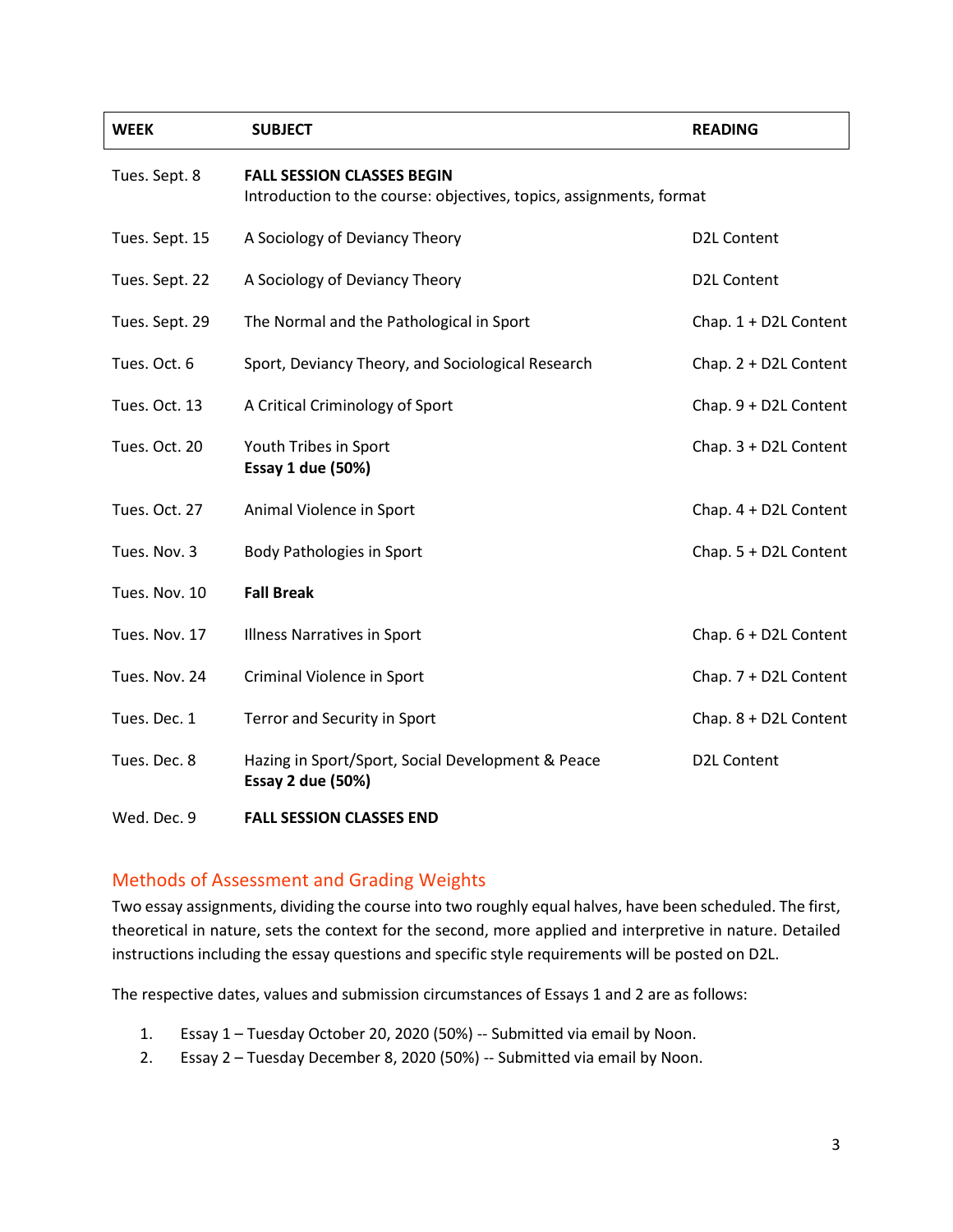| <b>WEEK</b>    | <b>SUBJECT</b>                                                                                           | <b>READING</b>        |  |
|----------------|----------------------------------------------------------------------------------------------------------|-----------------------|--|
| Tues. Sept. 8  | <b>FALL SESSION CLASSES BEGIN</b><br>Introduction to the course: objectives, topics, assignments, format |                       |  |
| Tues. Sept. 15 | A Sociology of Deviancy Theory                                                                           | D2L Content           |  |
| Tues. Sept. 22 | A Sociology of Deviancy Theory                                                                           | D2L Content           |  |
| Tues. Sept. 29 | The Normal and the Pathological in Sport                                                                 | Chap. 1 + D2L Content |  |
| Tues. Oct. 6   | Sport, Deviancy Theory, and Sociological Research                                                        | Chap. 2 + D2L Content |  |
| Tues. Oct. 13  | A Critical Criminology of Sport                                                                          | Chap. 9 + D2L Content |  |
| Tues. Oct. 20  | Youth Tribes in Sport<br><b>Essay 1 due (50%)</b>                                                        | Chap. 3 + D2L Content |  |
| Tues. Oct. 27  | Animal Violence in Sport                                                                                 | Chap. 4 + D2L Content |  |
| Tues. Nov. 3   | <b>Body Pathologies in Sport</b>                                                                         | Chap. 5 + D2L Content |  |
| Tues. Nov. 10  | <b>Fall Break</b>                                                                                        |                       |  |
| Tues. Nov. 17  | <b>Illness Narratives in Sport</b>                                                                       | Chap. 6 + D2L Content |  |
| Tues. Nov. 24  | Criminal Violence in Sport                                                                               | Chap. 7 + D2L Content |  |
| Tues. Dec. 1   | Terror and Security in Sport                                                                             | Chap. 8 + D2L Content |  |
| Tues. Dec. 8   | Hazing in Sport/Sport, Social Development & Peace<br><b>Essay 2 due (50%)</b>                            | <b>D2L Content</b>    |  |
| Wed, Dec. 9    | <b>FALL SESSION CLASSES FND</b>                                                                          |                       |  |

## Methods of Assessment and Grading Weights

Two essay assignments, dividing the course into two roughly equal halves, have been scheduled. The first, theoretical in nature, sets the context for the second, more applied and interpretive in nature. Detailed instructions including the essay questions and specific style requirements will be posted on D2L.

The respective dates, values and submission circumstances of Essays 1 and 2 are as follows:

- 1. Essay 1 Tuesday October 20, 2020 (50%) -- Submitted via email by Noon.
- 2. Essay 2 Tuesday December 8, 2020 (50%) -- Submitted via email by Noon.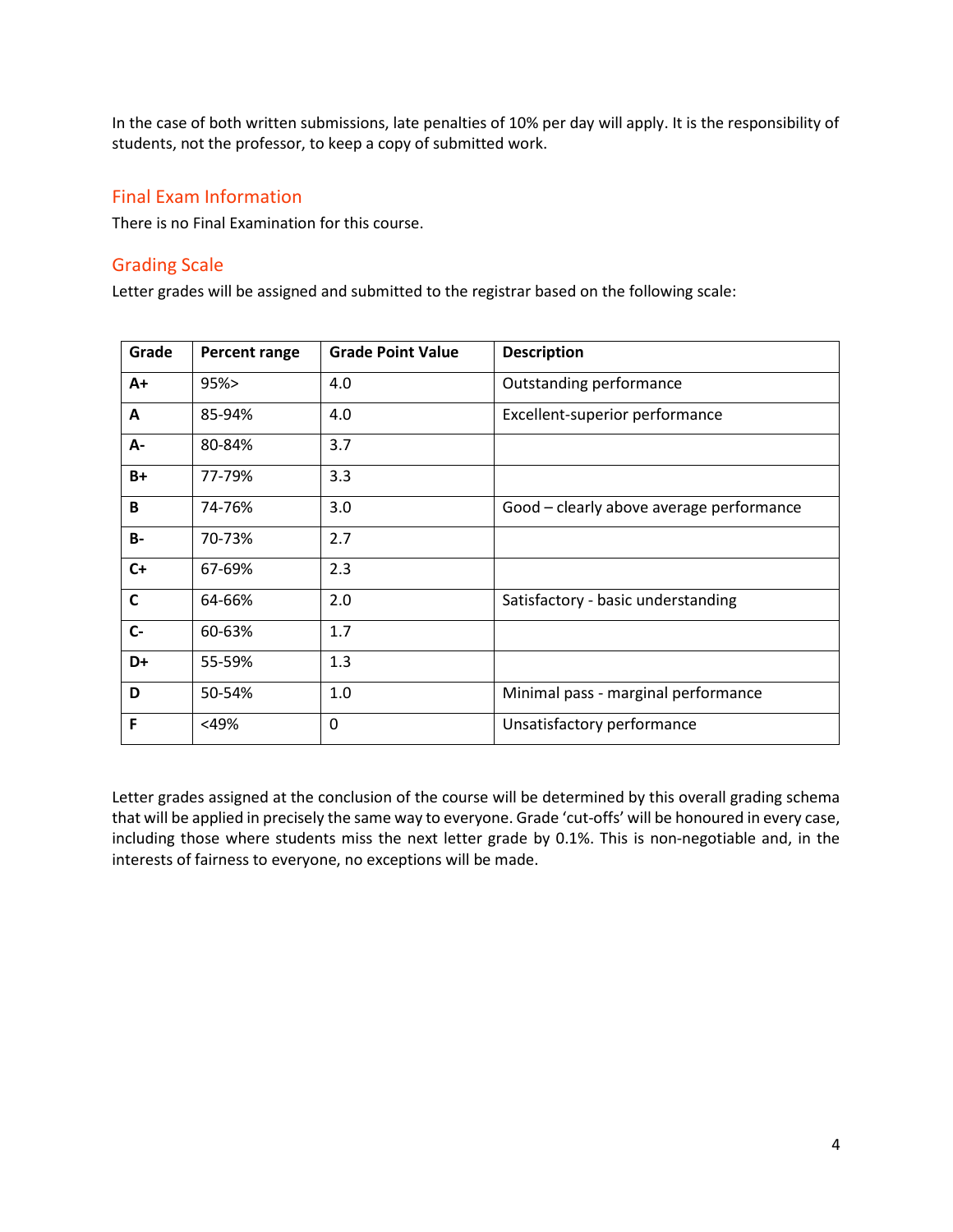In the case of both written submissions, late penalties of 10% per day will apply. It is the responsibility of students, not the professor, to keep a copy of submitted work.

## Final Exam Information

There is no Final Examination for this course.

## Grading Scale

Letter grades will be assigned and submitted to the registrar based on the following scale:

| Grade        | Percent range | <b>Grade Point Value</b> | <b>Description</b>                       |
|--------------|---------------|--------------------------|------------------------------------------|
| $A+$         | 95%           | 4.0                      | Outstanding performance                  |
| A            | 85-94%        | 4.0                      | Excellent-superior performance           |
| А-           | 80-84%        | 3.7                      |                                          |
| $B+$         | 77-79%        | 3.3                      |                                          |
| B            | 74-76%        | 3.0                      | Good - clearly above average performance |
| <b>B-</b>    | 70-73%        | 2.7                      |                                          |
| $C+$         | 67-69%        | 2.3                      |                                          |
| $\mathsf{C}$ | 64-66%        | 2.0                      | Satisfactory - basic understanding       |
| $c-$         | 60-63%        | 1.7                      |                                          |
| D+           | 55-59%        | 1.3                      |                                          |
| D            | 50-54%        | 1.0                      | Minimal pass - marginal performance      |
| F            | <49%          | 0                        | Unsatisfactory performance               |

Letter grades assigned at the conclusion of the course will be determined by this overall grading schema that will be applied in precisely the same way to everyone. Grade 'cut-offs' will be honoured in every case, including those where students miss the next letter grade by 0.1%. This is non-negotiable and, in the interests of fairness to everyone, no exceptions will be made.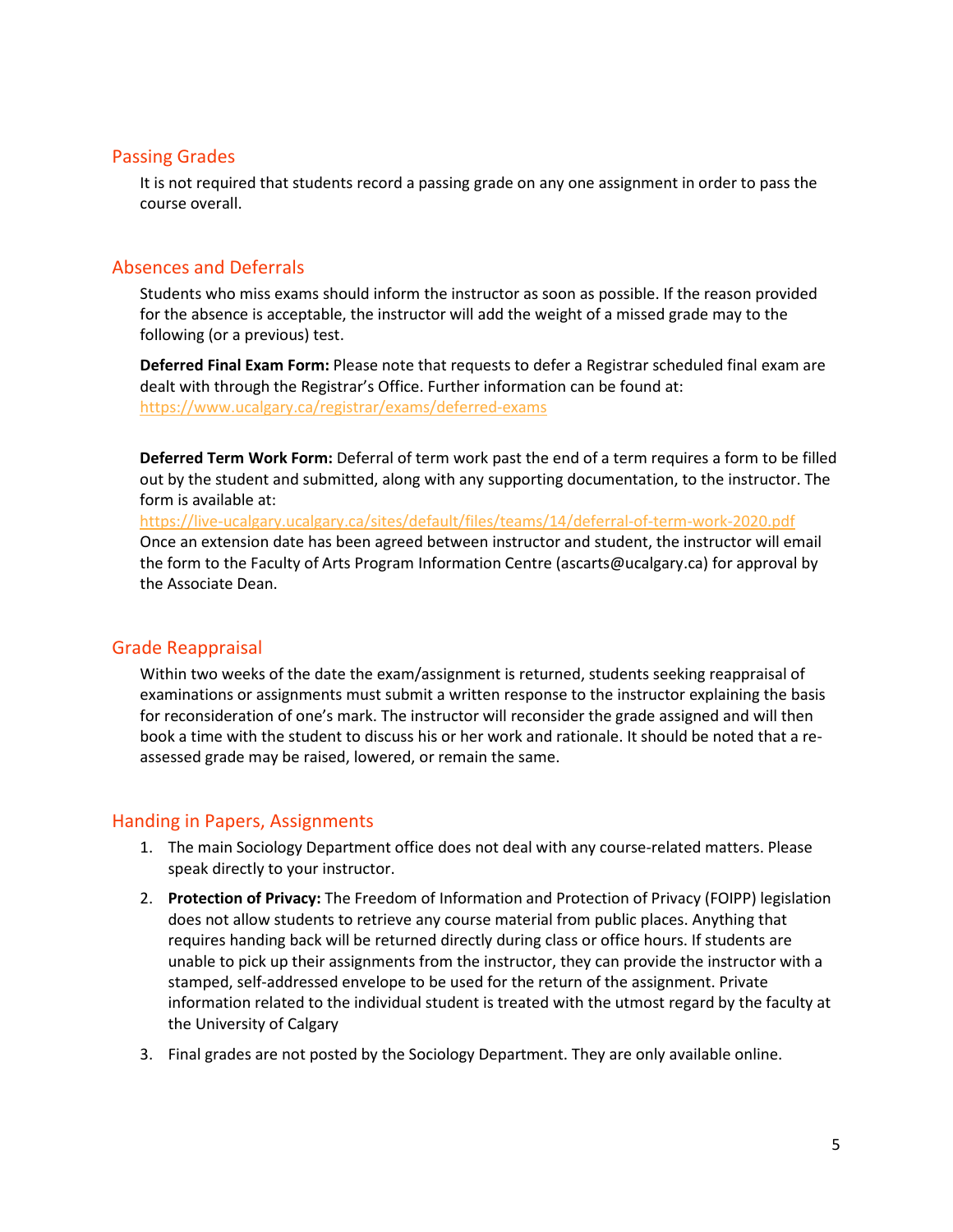#### Passing Grades

It is not required that students record a passing grade on any one assignment in order to pass the course overall.

## Absences and Deferrals

Students who miss exams should inform the instructor as soon as possible. If the reason provided for the absence is acceptable, the instructor will add the weight of a missed grade may to the following (or a previous) test.

**Deferred Final Exam Form:** Please note that requests to defer a Registrar scheduled final exam are dealt with through the Registrar's Office. Further information can be found at: <https://www.ucalgary.ca/registrar/exams/deferred-exams>

**Deferred Term Work Form:** Deferral of term work past the end of a term requires a form to be filled out by the student and submitted, along with any supporting documentation, to the instructor. The form is available at:

<https://live-ucalgary.ucalgary.ca/sites/default/files/teams/14/deferral-of-term-work-2020.pdf> Once an extension date has been agreed between instructor and student, the instructor will email the form to the Faculty of Arts Program Information Centre (ascarts@ucalgary.ca) for approval by the Associate Dean.

## Grade Reappraisal

Within two weeks of the date the exam/assignment is returned, students seeking reappraisal of examinations or assignments must submit a written response to the instructor explaining the basis for reconsideration of one's mark. The instructor will reconsider the grade assigned and will then book a time with the student to discuss his or her work and rationale. It should be noted that a reassessed grade may be raised, lowered, or remain the same.

## Handing in Papers, Assignments

- 1. The main Sociology Department office does not deal with any course-related matters. Please speak directly to your instructor.
- 2. **Protection of Privacy:** The Freedom of Information and Protection of Privacy (FOIPP) legislation does not allow students to retrieve any course material from public places. Anything that requires handing back will be returned directly during class or office hours. If students are unable to pick up their assignments from the instructor, they can provide the instructor with a stamped, self-addressed envelope to be used for the return of the assignment. Private information related to the individual student is treated with the utmost regard by the faculty at the University of Calgary
- 3. Final grades are not posted by the Sociology Department. They are only available online.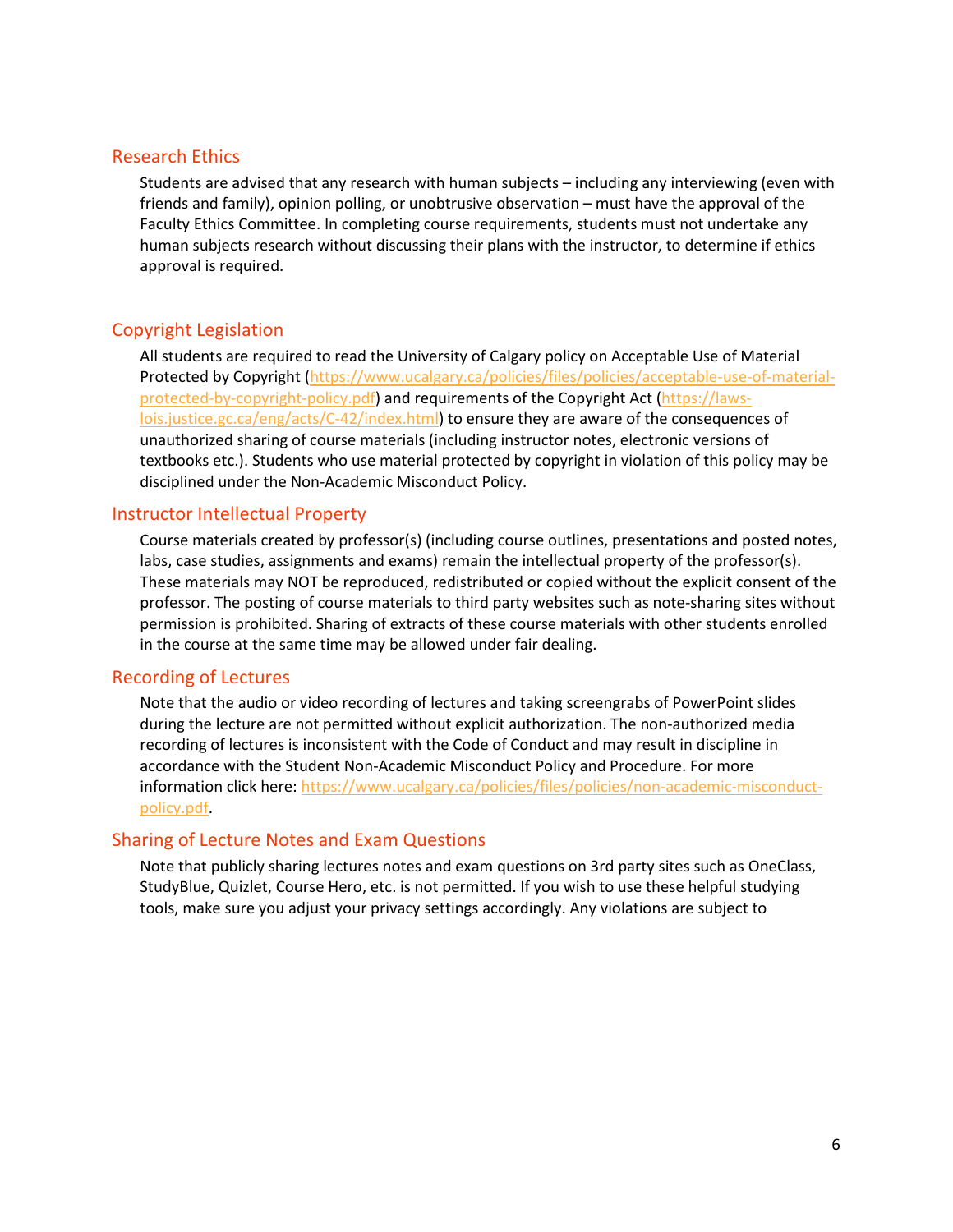#### Research Ethics

Students are advised that any research with human subjects – including any interviewing (even with friends and family), opinion polling, or unobtrusive observation – must have the approval of the Faculty Ethics Committee. In completing course requirements, students must not undertake any human subjects research without discussing their plans with the instructor, to determine if ethics approval is required.

## Copyright Legislation

All students are required to read the University of Calgary policy on Acceptable Use of Material Protected by Copyright [\(https://www.ucalgary.ca/policies/files/policies/acceptable-use-of-material](https://www.ucalgary.ca/policies/files/policies/acceptable-use-of-material-protected-by-copyright-policy.pdf)[protected-by-copyright-policy.pdf\)](https://www.ucalgary.ca/policies/files/policies/acceptable-use-of-material-protected-by-copyright-policy.pdf) and requirements of the Copyright Act [\(https://laws](https://laws-lois.justice.gc.ca/eng/acts/C-42/index.html)[lois.justice.gc.ca/eng/acts/C-42/index.html\)](https://laws-lois.justice.gc.ca/eng/acts/C-42/index.html) to ensure they are aware of the consequences of unauthorized sharing of course materials (including instructor notes, electronic versions of textbooks etc.). Students who use material protected by copyright in violation of this policy may be disciplined under the Non-Academic Misconduct Policy.

#### Instructor Intellectual Property

Course materials created by professor(s) (including course outlines, presentations and posted notes, labs, case studies, assignments and exams) remain the intellectual property of the professor(s). These materials may NOT be reproduced, redistributed or copied without the explicit consent of the professor. The posting of course materials to third party websites such as note-sharing sites without permission is prohibited. Sharing of extracts of these course materials with other students enrolled in the course at the same time may be allowed under fair dealing.

## Recording of Lectures

Note that the audio or video recording of lectures and taking screengrabs of PowerPoint slides during the lecture are not permitted without explicit authorization. The non-authorized media recording of lectures is inconsistent with the Code of Conduct and may result in discipline in accordance with the Student Non-Academic Misconduct Policy and Procedure. For more information click here: [https://www.ucalgary.ca/policies/files/policies/non-academic-misconduct](https://www.ucalgary.ca/policies/files/policies/non-academic-misconduct-policy.pdf)[policy.pdf.](https://www.ucalgary.ca/policies/files/policies/non-academic-misconduct-policy.pdf)

#### Sharing of Lecture Notes and Exam Questions

Note that publicly sharing lectures notes and exam questions on 3rd party sites such as OneClass, StudyBlue, Quizlet, Course Hero, etc. is not permitted. If you wish to use these helpful studying tools, make sure you adjust your privacy settings accordingly. Any violations are subject to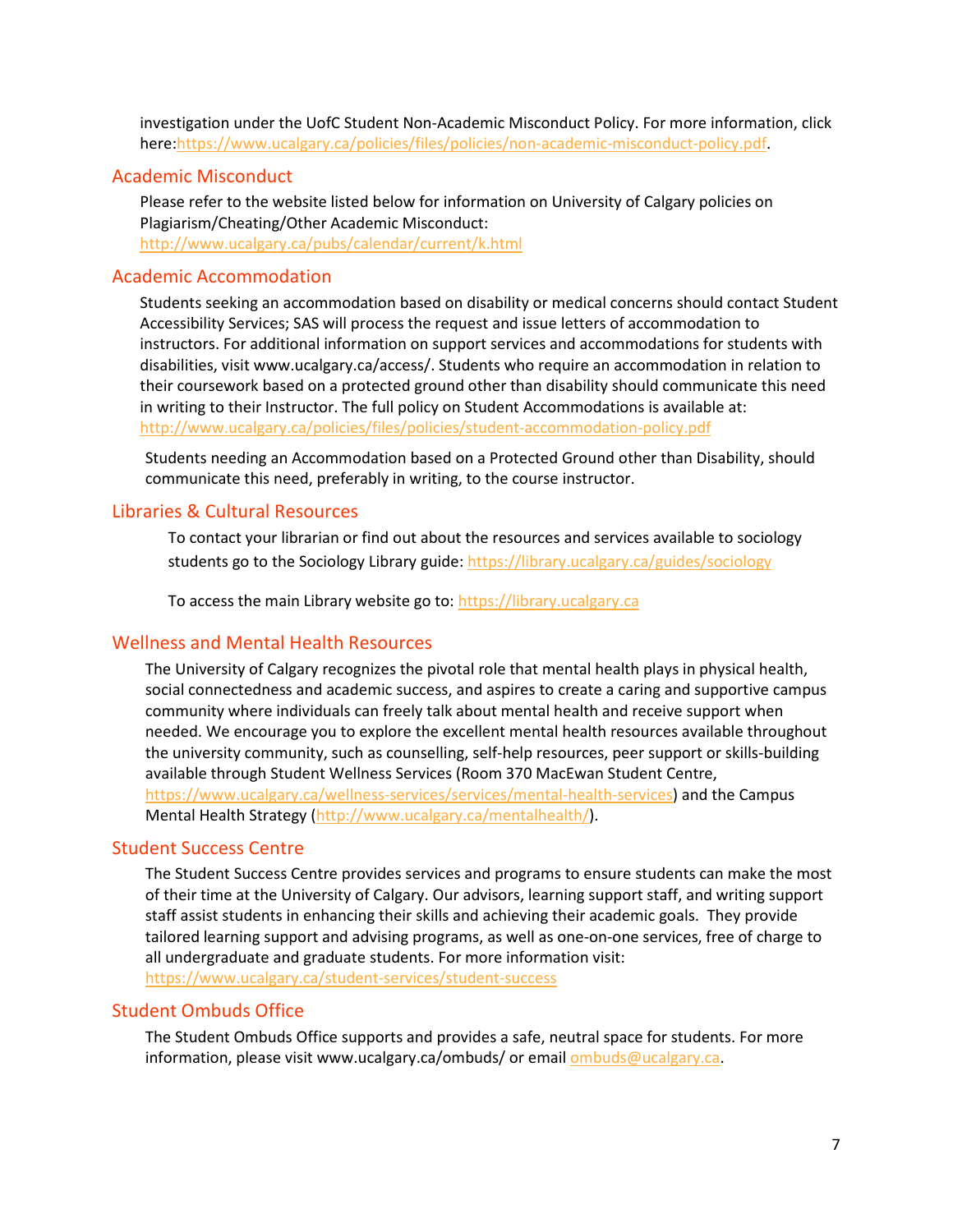investigation under the UofC Student Non-Academic Misconduct Policy. For more information, click here[:https://www.ucalgary.ca/policies/files/policies/non-academic-misconduct-policy.pdf.](https://www.ucalgary.ca/policies/files/policies/non-academic-misconduct-policy.pdf)

#### Academic Misconduct

Please refer to the website listed below for information on University of Calgary policies on Plagiarism/Cheating/Other Academic Misconduct: <http://www.ucalgary.ca/pubs/calendar/current/k.html>

#### Academic Accommodation

Students seeking an accommodation based on disability or medical concerns should contact Student Accessibility Services; SAS will process the request and issue letters of accommodation to instructors. For additional information on support services and accommodations for students with disabilities, visit www.ucalgary.ca/access/. Students who require an accommodation in relation to their coursework based on a protected ground other than disability should communicate this need in writing to their Instructor. The full policy on Student Accommodations is available at: <http://www.ucalgary.ca/policies/files/policies/student-accommodation-policy.pdf>

Students needing an Accommodation based on a Protected Ground other than Disability, should communicate this need, preferably in writing, to the course instructor.

## Libraries & Cultural Resources

To contact your librarian or find out about the resources and services available to sociology students go to the Sociology Library guide[: https://library.ucalgary.ca/guides/sociology](https://library.ucalgary.ca/guides/sociology)

To access the main Library website go to: [https://library.ucalgary.ca](https://library.ucalgary.ca/)

#### Wellness and Mental Health Resources

The University of Calgary recognizes the pivotal role that mental health plays in physical health, social connectedness and academic success, and aspires to create a caring and supportive campus community where individuals can freely talk about mental health and receive support when needed. We encourage you to explore the excellent mental health resources available throughout the university community, such as counselling, self-help resources, peer support or skills-building available through Student Wellness Services (Room 370 MacEwan Student Centre, [https://www.ucalgary.ca/wellness-services/services/mental-health-services\)](https://www.ucalgary.ca/wellness-services/services/mental-health-services) and the Campus Mental Health Strategy [\(http://www.ucalgary.ca/mentalhealth/\)](http://www.ucalgary.ca/mentalhealth/).

#### Student Success Centre

The Student Success Centre provides services and programs to ensure students can make the most of their time at the University of Calgary. Our advisors, learning support staff, and writing support staff assist students in enhancing their skills and achieving their academic goals. They provide tailored learning support and advising programs, as well as one-on-one services, free of charge to all undergraduate and graduate students. For more information visit: <https://www.ucalgary.ca/student-services/student-success>

#### Student Ombuds Office

The Student Ombuds Office supports and provides a safe, neutral space for students. For more information, please visit www.ucalgary.ca/ombuds/ or email **ombuds@ucalgary.ca**.